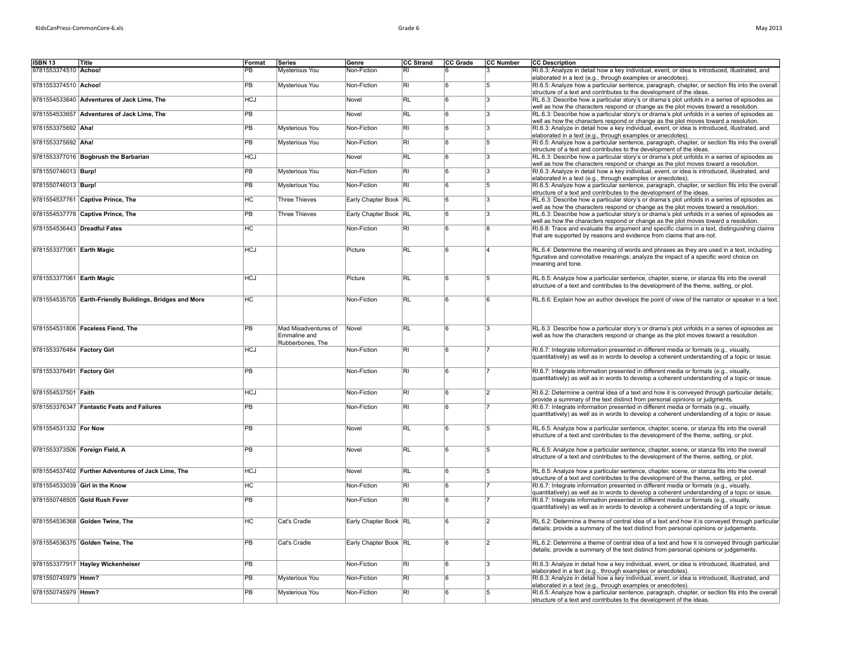| <b>ISBN 13</b>                    | Title                                                    | Format          | Series                | Genre                 | <b>CC Strand</b> | CC Grade | <b>CC Number</b> | <b>CC Description</b>                                                                           |
|-----------------------------------|----------------------------------------------------------|-----------------|-----------------------|-----------------------|------------------|----------|------------------|-------------------------------------------------------------------------------------------------|
| 9781553374510 Achoo!              |                                                          | PB              | Mysterious You        | Non-Fiction           | RI               |          |                  | RI.6.3: Analyze in detail how a key individual, event, or idea is introduced, illustrated, and  |
|                                   |                                                          |                 |                       |                       |                  |          |                  | elaborated in a text (e.g., through examples or anecdotes).                                     |
| 9781553374510 Achoo!              |                                                          | <b>PB</b>       | Mysterious You        | Non-Fiction           | $\overline{R}$   | ĥ        | 5                | RI.6.5: Analyze how a particular sentence, paragraph, chapter, or section fits into the overall |
|                                   |                                                          |                 |                       |                       |                  |          |                  | structure of a text and contributes to the development of the ideas.                            |
|                                   | 9781554533640 Adventures of Jack Lime, The               | <b>HCJ</b>      |                       | Novel                 | <b>RL</b>        | ١ĥ       | 3                | RL.6.3: Describe how a particular story's or drama's plot unfolds in a series of episodes as    |
|                                   |                                                          |                 |                       |                       |                  |          |                  | well as how the characters respond or change as the plot moves toward a resolution.             |
|                                   | 9781554533657 Adventures of Jack Lime, The               | <b>PB</b>       |                       | Novel                 | <b>RL</b>        | ١ĥ       | 3                | RL.6.3: Describe how a particular story's or drama's plot unfolds in a series of episodes as    |
|                                   |                                                          |                 |                       |                       |                  |          |                  | well as how the characters respond or change as the plot moves toward a resolution.             |
| 9781553375692 Aha!                |                                                          | <b>PB</b>       | <b>Mysterious You</b> | Non-Fiction           | RI               | ้ค       | Ι3               | RI.6.3: Analyze in detail how a key individual, event, or idea is introduced, illustrated, and  |
|                                   |                                                          |                 |                       |                       |                  |          |                  | elaborated in a text (e.g., through examples or anecdotes).                                     |
| 9781553375692 Aha!                |                                                          | <b>PB</b>       | Mysterious You        | Non-Fiction           | <b>RI</b>        | l R      | 5                | RI.6.5: Analyze how a particular sentence, paragraph, chapter, or section fits into the overall |
|                                   |                                                          |                 |                       |                       |                  |          |                  | structure of a text and contributes to the development of the ideas.                            |
|                                   | 9781553377016 Bogbrush the Barbarian                     | <b>HCJ</b>      |                       | Novel                 | <b>RL</b>        | 6        | l3               | RL.6.3: Describe how a particular story's or drama's plot unfolds in a series of episodes as    |
|                                   |                                                          |                 |                       |                       |                  |          |                  | well as how the characters respond or change as the plot moves toward a resolution.             |
| 9781550746013   Burp!             |                                                          | <b>PB</b>       | Mysterious You        | Non-Fiction           | <b>RI</b>        | l R      | l3               | RI.6.3: Analyze in detail how a key individual, event, or idea is introduced, illustrated, and  |
|                                   |                                                          |                 |                       |                       |                  |          |                  | elaborated in a text (e.g., through examples or anecdotes).                                     |
| 9781550746013 Burp!               |                                                          | <b>PB</b>       | Mysterious You        | Non-Fiction           | <b>RI</b>        | ١ĥ       | 5                | RI.6.5: Analyze how a particular sentence, paragraph, chapter, or section fits into the overall |
|                                   |                                                          |                 |                       |                       |                  |          |                  | structure of a text and contributes to the development of the ideas.                            |
|                                   | 9781554537761 Captive Prince, The                        | H <sub>C</sub>  | <b>Three Thieves</b>  | Early Chapter Book RL |                  | ĥ        | l3.              | RL.6.3: Describe how a particular story's or drama's plot unfolds in a series of episodes as    |
|                                   |                                                          |                 |                       |                       |                  |          |                  | well as how the characters respond or change as the plot moves toward a resolution.             |
|                                   | 9781554537778 Captive Prince, The                        | <b>PB</b>       | <b>Three Thieves</b>  | Early Chapter Book RL |                  | ١ĥ       | ١3.              | RL.6.3: Describe how a particular story's or drama's plot unfolds in a series of episodes as    |
|                                   |                                                          |                 |                       |                       |                  |          |                  | well as how the characters respond or change as the plot moves toward a resolution.             |
| 9781554536443 Dreadful Fates      |                                                          | H <sub>C</sub>  |                       | Non-Fiction           | $\overline{R}$   | <b>R</b> | R                | RI.6.8: Trace and evaluate the argument and specific claims in a text, distinguishing claims    |
|                                   |                                                          |                 |                       |                       |                  |          |                  | that are supported by reasons and evidence from claims that are not.                            |
|                                   |                                                          |                 |                       |                       |                  |          |                  |                                                                                                 |
| 9781553377061 Earth Magic         |                                                          | <b>HCJ</b>      |                       | Picture               | RL               | <b>R</b> |                  | RL.6.4: Determine the meaning of words and phrases as they are used in a text, including        |
|                                   |                                                          |                 |                       |                       |                  |          |                  | figurative and connotative meanings; analyze the impact of a specific word choice on            |
|                                   |                                                          |                 |                       |                       |                  |          |                  | meaning and tone.                                                                               |
|                                   |                                                          |                 |                       |                       |                  |          |                  |                                                                                                 |
| 9781553377061 Earth Magic         |                                                          | <b>HCJ</b>      |                       | Picture               | <b>RL</b>        | 6        | 5                | RL.6.5: Analyze how a particular sentence, chapter, scene, or stanza fits into the overall      |
|                                   |                                                          |                 |                       |                       |                  |          |                  | structure of a text and contributes to the development of the theme, setting, or plot.          |
|                                   |                                                          |                 |                       |                       |                  |          |                  |                                                                                                 |
|                                   | 9781554535705 Earth-Friendly Buildings, Bridges and More | <b>HC</b>       |                       | Non-Fiction           | R <sub>L</sub>   | 6        | ١R               | RL.6.6: Explain how an author develops the point of view of the narrator or speaker in a text   |
|                                   |                                                          |                 |                       |                       |                  |          |                  |                                                                                                 |
|                                   |                                                          |                 |                       |                       |                  |          |                  |                                                                                                 |
|                                   |                                                          |                 |                       |                       |                  |          |                  |                                                                                                 |
|                                   | 9781554531806 Faceless Fiend. The                        | <b>PB</b>       | Mad Misadventures of  | Novel                 | RL               | <b>R</b> | l3               | RL.6.3 Describe how a particular story's or drama's plot unfolds in a series of episodes as     |
|                                   |                                                          |                 | Emmaline and          |                       |                  |          |                  | well as how the characters respond or change as the plot moves toward a resolution              |
|                                   |                                                          |                 | Rubberbones, The      |                       |                  |          |                  |                                                                                                 |
| 9781553376484 Factory Girl        |                                                          | <b>HCJ</b>      |                       | Non-Fiction           | RI               | ้ค       |                  | RI.6.7: Integrate information presented in different media or formats (e.g., visually,          |
|                                   |                                                          |                 |                       |                       |                  |          |                  | quantitatively) as well as in words to develop a coherent understanding of a topic or issue.    |
| 0781553376491 <b>Factory Girl</b> |                                                          | $\overline{PR}$ |                       | Non-Fiction           | $\overline{R}$   | آءا      | 17               | RL6.7: Integrate information presented in different media or formats (e.g., visually            |
|                                   |                                                          |                 |                       |                       |                  |          |                  |                                                                                                 |

|                            | 9781554535705 Earth-Friendly Buildings, Bridges and More | <b>HC</b>  |                                                          | Non-Fiction           | RL.            |    |                | RL.6.6; Explain how an author develops the point of view of the narrator or speaker in a text.                                                                                         |
|----------------------------|----------------------------------------------------------|------------|----------------------------------------------------------|-----------------------|----------------|----|----------------|----------------------------------------------------------------------------------------------------------------------------------------------------------------------------------------|
|                            | 9781554531806 Faceless Fiend, The                        | <b>PB</b>  | Mad Misadventures of<br>Emmaline and<br>Rubberbones. The | Novel                 | R <sub>L</sub> |    |                | RL.6.3 Describe how a particular story's or drama's plot unfolds in a series of episodes as<br>well as how the characters respond or change as the plot moves toward a resolution      |
| 9781553376484 Factory Girl |                                                          | <b>HCJ</b> |                                                          | Non-Fiction           | $\overline{R}$ |    |                | RI.6.7: Integrate information presented in different media or formats (e.g., visually,<br>quantitatively) as well as in words to develop a coherent understanding of a topic or issue. |
| 9781553376491 Factory Girl |                                                          | <b>PR</b>  |                                                          | Non-Fiction           | $\overline{R}$ | ۱ĥ |                | RI.6.7: Integrate information presented in different media or formats (e.g., visually,<br>quantitatively) as well as in words to develop a coherent understanding of a topic or issue. |
| 9781554537501 Faith        |                                                          | <b>HCJ</b> |                                                          | Non-Fiction           | RI.            |    | 2              | RI.6.2: Determine a central idea of a text and how it is conveyed through particular details;<br>provide a summary of the text distinct from personal opinions or judgments.           |
|                            | 9781553376347 Fantastic Feats and Failures               | <b>PB</b>  |                                                          | Non-Fiction           | $\overline{R}$ |    |                | RI.6.7: Integrate information presented in different media or formats (e.g., visually,<br>quantitatively) as well as in words to develop a coherent understanding of a topic or issue. |
| 9781554531332 For Now      |                                                          | <b>PR</b>  |                                                          | Novel                 | RL.            |    |                | RL.6.5: Analyze how a particular sentence, chapter, scene, or stanza fits into the overall<br>structure of a text and contributes to the development of the theme, setting, or plot.   |
|                            | 9781553373506 Foreign Field, A                           | PB         |                                                          | Novel                 | RL             |    |                | RL.6.5: Analyze how a particular sentence, chapter, scene, or stanza fits into the overall<br>structure of a text and contributes to the development of the theme, setting, or plot.   |
|                            | 9781554537402 Further Adventures of Jack Lime, The       | <b>HCJ</b> |                                                          | Novel                 | <b>RL</b>      |    | Б.             | RL.6.5: Analyze how a particular sentence, chapter, scene, or stanza fits into the overall<br>structure of a text and contributes to the development of the theme, setting, or plot.   |
|                            | 9781554533039 Girl in the Know                           | <b>HC</b>  |                                                          | Non-Fiction           | RI             |    |                | RI.6.7: Integrate information presented in different media or formats (e.g., visually,<br>quantitatively) as well as in words to develop a coherent understanding of a topic or issue. |
|                            | 9781550748505 Gold Rush Fever                            | PB         |                                                          | Non-Fiction           | RI             |    |                | RI.6.7: Integrate information presented in different media or formats (e.g., visually,<br>quantitatively) as well as in words to develop a coherent understanding of a topic or issue. |
|                            | 9781554536368 Golden Twine, The                          | HC.        | Cat's Cradle                                             | Early Chapter Book RL |                |    | 2              | RL.6.2: Determine a theme of central idea of a text and how it is conveyed through particular<br>details; provide a summary of the text distinct from personal opinions or judgements. |
|                            | 9781554536375 Golden Twine, The                          | PB         | Cat's Cradle                                             | Early Chapter Book RL |                |    | $\overline{2}$ | RL.6.2: Determine a theme of central idea of a text and how it is conveyed through particular<br>details; provide a summary of the text distinct from personal opinions or judgements. |
|                            | 9781553377917 Hayley Wickenheiser                        | <b>PB</b>  |                                                          | Non-Fiction           | <b>RI</b>      |    |                | RI.6.3: Analyze in detail how a key individual, event, or idea is introduced, illustrated, and<br>elaborated in a text (e.g., through examples or anecdotes).                          |
| 9781550745979 Hmm?         |                                                          | <b>PB</b>  | Mysterious You                                           | Non-Fiction           | RI             |    |                | RI.6.3: Analyze in detail how a key individual, event, or idea is introduced, illustrated, and<br>elaborated in a text (e.g., through examples or anecdotes).                          |
| 9781550745979 Hmm?         |                                                          | <b>PB</b>  | Mysterious You                                           | Non-Fiction           | RI             |    |                | RI.6.5: Analyze how a particular sentence, paragraph, chapter, or section fits into the overall<br>structure of a text and contributes to the development of the ideas.                |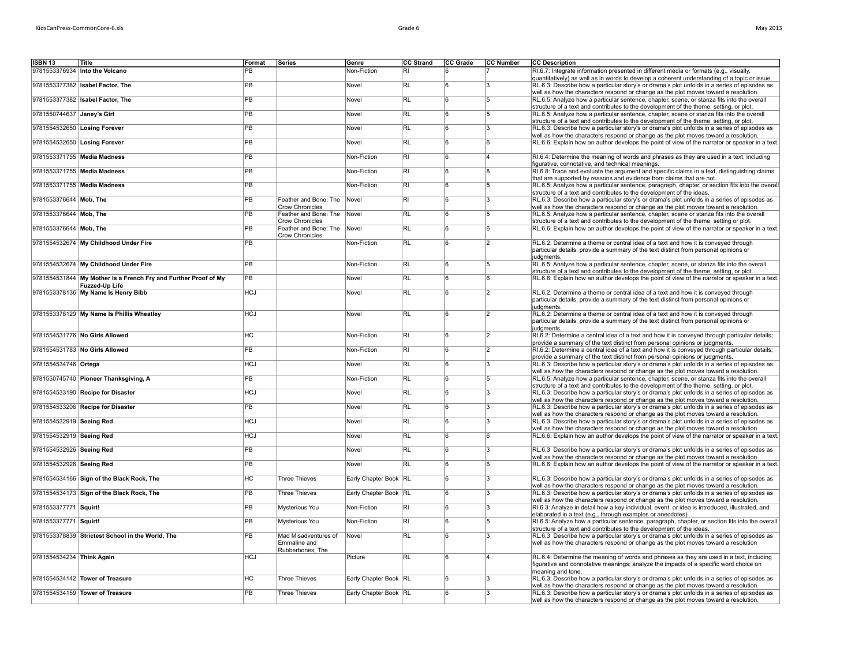| iviay 2013 |  |
|------------|--|
|            |  |
|            |  |
|            |  |

| ISBN 13                      | Title                                                           | Format          | Series                                         | Genre                 | CC Strand               | CC Grade         | CC Number      | <b>CC Description</b>                                                                                                                                                                                                                                              |
|------------------------------|-----------------------------------------------------------------|-----------------|------------------------------------------------|-----------------------|-------------------------|------------------|----------------|--------------------------------------------------------------------------------------------------------------------------------------------------------------------------------------------------------------------------------------------------------------------|
|                              | 9781553376934 Into the Volcano                                  | $\overline{PB}$ |                                                | Non-Fiction           | RI                      | 6                |                | RI.6.7: Integrate information presented in different media or formats (e.g., visually,<br>quantitatively) as well as in words to develop a coherent understanding of a topic or issue.                                                                             |
|                              | 9781553377382 Isabel Factor, The                                | $\overline{PB}$ |                                                | Novel                 | RL                      | $\overline{6}$   | l3             | RL.6.3: Describe how a particular story's or drama's plot unfolds in a series of episodes as                                                                                                                                                                       |
|                              | 9781553377382 Isabel Factor, The                                | <b>PB</b>       |                                                | Novel                 | <b>RL</b>               | 6                | $\overline{5}$ | well as how the characters respond or change as the plot moves toward a resolution.<br>RL.6.5: Analyze how a particular sentence, chapter, scene, or stanza fits into the overall                                                                                  |
| 9781550744637 Janey's Girl   |                                                                 | PB              |                                                | Novel                 | RL                      | $\overline{6}$   | 15             | structure of a text and contributes to the development of the theme, setting, or plot.<br>RL.6.5: Analyze how a particular sentence, chapter, scene or stanza fits into the overall                                                                                |
|                              |                                                                 |                 |                                                |                       |                         |                  |                | structure of a text and contributes to the development of the theme, setting, or plot.                                                                                                                                                                             |
| 9781554532650 Losing Forever |                                                                 | PB              |                                                | Novel                 | <b>RL</b>               | 6                | l3             | RL.6.3: Describe how a particular story's or drama's plot unfolds in a series of episodes as<br>well as how the characters respond or change as the plot moves toward a resolution.                                                                                |
| 9781554532650 Losing Forever |                                                                 | PB              |                                                | Novel                 | <b>RL</b>               | $6\overline{6}$  | 6              | RL.6.6: Explain how an author develops the point of view of the narrator or speaker in a text.                                                                                                                                                                     |
|                              | 9781553371755 Media Madness                                     | PB              |                                                | Non-Fiction           | RI                      | $6 \overline{6}$ | 14             | RI.6.4: Determine the meaning of words and phrases as they are used in a text, including<br>figurative, connotative, and technical meanings.                                                                                                                       |
|                              | 9781553371755 Media Madness                                     | <b>PB</b>       |                                                | Non-Fiction           | RI                      | 6                | 8              | RI.6.8: Trace and evaluate the argument and specific claims in a text, distinguishing claims<br>that are supported by reasons and evidence from claims that are not.                                                                                               |
|                              | 9781553371755 Media Madness                                     | <b>PB</b>       |                                                | Non-Fiction           | RI.                     | 6                | 5              | RL.6.5: Analyze how a particular sentence, paragraph, chapter, or section fits into the overall<br>structure of a text and contributes to the development of the ideas.                                                                                            |
| 9781553376644 Mob, The       |                                                                 | $\overline{PB}$ | Feather and Bone: The Novel<br>Crow Chronicles |                       | $\overline{R}$          | $\overline{6}$   | 3              | RL.6.3: Describe how a particular story's or drama's plot unfolds in a series of episodes as<br>well as how the characters respond or change as the plot moves toward a resolution.                                                                                |
| 9781553376644 Mob, The       |                                                                 | $\overline{PB}$ | Feather and Bone: The Novel                    |                       | RL                      | $\overline{6}$   | 15             | RL.6.5: Analyze how a particular sentence, chapter, scene or stanza fits into the overall                                                                                                                                                                          |
| 9781553376644 Mob, The       |                                                                 | $\overline{PB}$ | Crow Chronicles<br>Feather and Bone: The Novel |                       | <b>RL</b>               | $\overline{6}$   | 6              | structure of a text and contributes to the development of the theme, setting or plot.<br>RL.6.6: Explain how an author develops the point of view of the narrator or speaker in a text.                                                                            |
|                              | 9781554532674 My Childhood Under Fire                           | PB              | <b>Crow Chronicles</b>                         | Non-Fiction           | RL                      | 6                | $\overline{2}$ | RL.6.2: Determine a theme or central idea of a text and how it is conveyed through                                                                                                                                                                                 |
|                              |                                                                 |                 |                                                |                       |                         |                  |                | particular details; provide a summary of the text distinct from personal opinions or<br>judaments.                                                                                                                                                                 |
|                              | 9781554532674 My Childhood Under Fire                           | <b>PB</b>       |                                                | Non-Fiction           | $\overline{RL}$         | 6                | 5              | RL.6.5: Analyze how a particular sentence, chapter, scene, or stanza fits into the overall                                                                                                                                                                         |
|                              | 9781554531844 My Mother Is a French Fry and Further Proof of My | PB              |                                                | Novel                 | RL                      | 6                | ۱ĥ             | structure of a text and contributes to the development of the theme, setting, or plot.<br>RL.6.6: Explain how an author develops the point of view of the narrator or speaker in a text.                                                                           |
|                              | <b>Fuzzed-Up Life</b>                                           | <b>HCJ</b>      |                                                | Novel                 | <b>RL</b>               | 6                | 12             |                                                                                                                                                                                                                                                                    |
|                              | 9781553378136 My Name Is Henry Bibb                             |                 |                                                |                       |                         |                  |                | RL.6.2: Determine a theme or central idea of a text and how it is conveyed through<br>particular details; provide a summary of the text distinct from personal opinions or<br>judaments.                                                                           |
|                              | 9781553378129 My Name Is Phillis Wheatley                       | <b>HCJ</b>      |                                                | Novel                 | <b>RL</b>               | l R              | 12             | RL.6.2: Determine a theme or central idea of a text and how it is conveyed through                                                                                                                                                                                 |
|                              |                                                                 |                 |                                                |                       |                         |                  |                | particular details; provide a summary of the text distinct from personal opinions or<br>judaments.                                                                                                                                                                 |
|                              | 9781554531776 No Girls Allowed                                  | H <sub>C</sub>  |                                                | Non-Fiction           | $\overline{RI}$         | 6                | 2              | RI.6.2: Determine a central idea of a text and how it is conveyed through particular details;<br>provide a summary of the text distinct from personal opinions or judgments.                                                                                       |
|                              | 9781554531783 No Girls Allowed                                  | PB              |                                                | Non-Fiction           | $\overline{R}$          | $\overline{6}$   | $\overline{2}$ | RI.6.2: Determine a central idea of a text and how it is conveyed through particular details;                                                                                                                                                                      |
| 9781554534746 Ortega         |                                                                 | <b>HCJ</b>      |                                                | Novel                 | <b>RL</b>               | 6                | l3             | provide a summary of the text distinct from personal opinions or judgments.<br>RL.6.3: Describe how a particular story's or drama's plot unfolds in a series of episodes as<br>well as how the characters respond or change as the plot moves toward a resolution. |
|                              | 9781550745740 Pioneer Thanksgiving, A                           | PB              |                                                | Non-Fiction           | <b>RL</b>               | $\overline{6}$   | 15             | RL.6.5: Analyze how a particular sentence, chapter, scene, or stanza fits into the overall<br>structure of a text and contributes to the development of the theme, setting, or plot.                                                                               |
|                              | 9781554533190 Recipe for Disaster                               | <b>HCJ</b>      |                                                | Novel                 | <b>RL</b>               | $6 \overline{6}$ | l3             | RL.6.3: Describe how a particular story's or drama's plot unfolds in a series of episodes as                                                                                                                                                                       |
|                              | 9781554533206 Recipe for Disaster                               | PB              |                                                | Novel                 | RL                      | 6                | 3              | well as how the characters respond or change as the plot moves toward a resolution.<br>RL.6.3: Describe how a particular story's or drama's plot unfolds in a series of episodes as                                                                                |
| 9781554532919 Seeing Red     |                                                                 | <b>HCJ</b>      |                                                | Novel                 | <b>RL</b>               | 6                | l3             | well as how the characters respond or change as the plot moves toward a resolution.<br>RL.6.3 Describe how a particular story's or drama's plot unfolds in a series of episodes as                                                                                 |
|                              |                                                                 |                 |                                                |                       | RL                      | 6                | 6              | well as how the characters respond or change as the plot moves toward a resolution                                                                                                                                                                                 |
| 9781554532919 Seeing Red     |                                                                 | HCJ             |                                                | Novel                 |                         |                  |                | RL.6.6: Explain how an author develops the point of view of the narrator or speaker in a text.                                                                                                                                                                     |
| 9781554532926 Seeing Red     |                                                                 | <b>PB</b>       |                                                | Novel                 | RL                      | $\overline{6}$   | l3             | RL.6.3 Describe how a particular story's or drama's plot unfolds in a series of episodes as<br>well as how the characters respond or change as the plot moves toward a resolution                                                                                  |
| 9781554532926 Seeing Red     |                                                                 | PB              |                                                | Novel                 | <b>RL</b>               | 6                | 6              | RL.6.6: Explain how an author develops the point of view of the narrator or speaker in a text.                                                                                                                                                                     |
|                              | 9781554534166 Sign of the Black Rock, The                       | HC              | <b>Three Thieves</b>                           | Early Chapter Book RL |                         | $\overline{6}$   | l3             | RL.6.3: Describe how a particular story's or drama's plot unfolds in a series of episodes as<br>well as how the characters respond or change as the plot moves toward a resolution.                                                                                |
|                              | 9781554534173 Sign of the Black Rock, The                       | <b>PB</b>       | <b>Three Thieves</b>                           | Early Chapter Book RL |                         | 6                | 3              | RL.6.3: Describe how a particular story's or drama's plot unfolds in a series of episodes as<br>well as how the characters respond or change as the plot moves toward a resolution.                                                                                |
| 9781553377771 Squirt!        |                                                                 | $\overline{PB}$ | Mysterious You                                 | Non-Fiction           | RI                      | 6                | 13             | RI.6.3: Analyze in detail how a key individual, event, or idea is introduced, illustrated, and                                                                                                                                                                     |
| 9781553377771 Squirt!        |                                                                 | PB              | Mysterious You                                 | Non-Fiction           | $\overline{\mathsf{R}}$ | $6 \overline{6}$ | 5              | elaborated in a text (e.g., through examples or anecdotes).<br>RI.6.5: Analyze how a particular sentence, paragraph, chapter, or section fits into the overall                                                                                                     |
|                              | 9781553378839 Strictest School in the World, The                | PB              | Mad Misadventures of                           | Novel                 | <b>RL</b>               | 6                |                | structure of a text and contributes to the development of the ideas.<br>RL.6.3 Describe how a particular story's or drama's plot unfolds in a series of episodes as                                                                                                |
|                              |                                                                 |                 | Emmaline and<br>Rubberbones. The               |                       |                         |                  |                | well as how the characters respond or change as the plot moves toward a resolution                                                                                                                                                                                 |
| 9781554534234 Think Again    |                                                                 | <b>HCJ</b>      |                                                | Picture               | <b>RL</b>               | $6\overline{6}$  |                | RL.6.4: Determine the meaning of words and phrases as they are used in a text, including                                                                                                                                                                           |
|                              |                                                                 |                 |                                                |                       |                         |                  |                | figurative and connotative meanings; analyze the impacts of a specific word choice on<br>meaning and tone.                                                                                                                                                         |
|                              | 9781554534142 Tower of Treasure                                 | HC              | <b>Three Thieves</b>                           | Early Chapter Book RL |                         | 6                | l3             | RL.6.3: Describe how a particular story's or drama's plot unfolds in a series of episodes as<br>well as how the characters respond or change as the plot moves toward a resolution.                                                                                |
|                              | 9781554534159 Tower of Treasure                                 | <b>PB</b>       | <b>Three Thieves</b>                           | Early Chapter Book RL |                         | 6                | । २            | RL.6.3: Describe how a particular story's or drama's plot unfolds in a series of episodes as                                                                                                                                                                       |
|                              |                                                                 |                 |                                                |                       |                         |                  |                | well as how the characters respond or change as the plot moves toward a resolution.                                                                                                                                                                                |